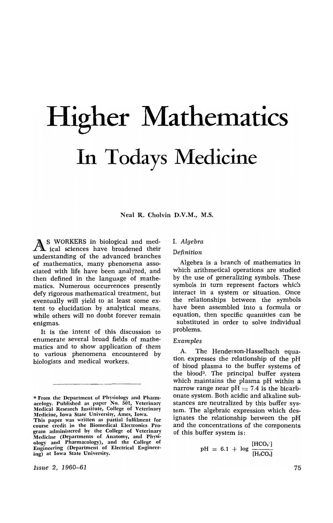# **Higher Mathematics**  In Todays Medicine

Neal R. Cholvin D.V.M., M.S.

A S WORKERS in biological and med-<br>A ical sciences have broadened their understanding of the advanced branches of mathematics, many phenomena associated with life have been analyzed, and then defined in the language of mathematics. Numerous occurrences presently defy rigorous mathematical treatment, but eventually will yield to at least some extent to elucidation by analytical means, while others will no doubt forever remain enigmas.

It is the intent of this discussion to enumerate several broad fields of mathematics and to show application of them to various phenomena encountered by biologists and medical workers.

\* From the Department of Physiology and Pharmacelogy. Published as paper No. 501, Veterinary Medical Research Institute, College of Veterinary Medicine, Iowa State Universitv, Ames, Iowa\_ This paper was written as partial fulfilment for course credit in the Biomedical Electronics Program administered by the College of Veterinary Medicine (Departments of Anatomy, and Physiology and Pharmacology), and the College of Engineering (Department of Electrical Engineer· ing) at Iowa State University.

*Issue* 2, 1960-61

# I. *Algebra*

#### Definition

Algebra is a branch of mathematics in which arithmetical operations are studied by the use of generalizing symbols. These symbols in turn represent factors which interact in a system or situation. Once the relationships between the symbols have been assembled into a formula or equation, then specific quantities can be substituted in order to solve individual problems.

#### *Examples*

A. The Henderson-Hasselbach equation expresses the relationship of the pH of blood plasma to the buffer systems of the blood<sup>3</sup>. The principal buffer system which maintains the plasma pH within a narrow range near  $pH = 7.4$  is the bicarbonate system. Both acidic and alkaline substances are neutralized by this buffer system. The algebraic expression which designates the relationship between the pH and the concentrations of the components of this buffer system is:

$$
pH = 6.1 + log \frac{[HCO_3^-]}{[H_2CO_3]}
$$

75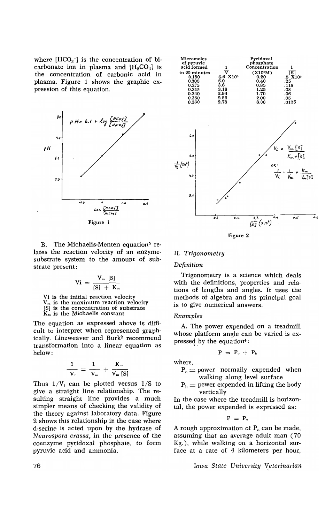where  $[HCO<sub>3</sub>$ ] is the concentration of bicarbonate ion in plasma and  $[H<sub>2</sub>CO<sub>3</sub>]$  is the concentration of carbonic acid in plasma. Figure 1 shows the graphic expression of this equation.



Figure 1

B. The Michaelis-Menten equation<sup>5</sup> relates the reaction velocity of an enzymesubstrate system to the amount of substrate present:

$$
Vi~=~\frac{V_{\scriptscriptstyle m}~[S]}{[S]~+~K_{\scriptscriptstyle m}}
$$

Vi is the initial reaction velocity  $V_m$  is the maximum reaction velocity [8] is the concentration of substrate  $K_m$  is the Michaelis constant

The equation as expressed above is difficult to interpret when represented graphically. Lineweaver and Burk2 recommend transformation into a linear equation as below:

$$
\frac{1}{V_{\rm t}} = \frac{1}{V_{\rm m}} + \frac{K_{\rm m}}{V_{\rm m} \,[S]}
$$

Thus  $1/V_i$  can be plotted versus  $1/S$  to give a straight line relationship. The resulting straight line provides a much simpler means of checking the validity of the theory against laboratory data. Figure 2 shows this relationship in the case where d-serine is acted upon by the hydrase of *Neurospora crassa,* in the presence of the coenzyme pyridoxal phosphate, to form pyruvic acid and ammonia.



#### II. *Trigonometry*

*Definition* 

Trigonometry is a science which deals with the definitions, properties and relations of lengths and angles. It uses the methods of algebra and its principal goal is to give numerical answers.

#### *Examples*

A. The power expended on a treadmill whose platform angle can be varied is expressed by the equation $4$ :

$$
P\ =\ P_o\ +\ P_h
$$

where,

 $P_0$  = power normally expended when walking along level surface

 $P_h$  = power expended in lifting the body vertically

In the case where the treadmill is horizontal, the power expended is expressed as:

$$
P = P_{\circ}
$$

A rough approximation of  $P_0$  can be made, assuming that an average adult man (70 Kg.), while walking on a horizontal surface at a rate of 4 kilometers per hour,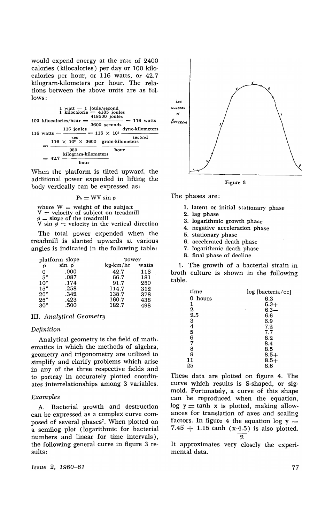would expend energy at the rate of 2400 calories (kilocalories) per day or 100 kilocalories per hour, or 116 watts, or 42.7 kilogram-kilometers per hour. The relations between the above units are as follows:

|  |                                                            | 1 watt $= 1$ joule/second<br>1 kilocalorie $= 4185$ joules |  | 418500 joules |                 |  |  |
|--|------------------------------------------------------------|------------------------------------------------------------|--|---------------|-----------------|--|--|
|  |                                                            | 100 kilocalories/hour $=$<br>$\frac{1}{2}$ = 116 watts     |  |               |                 |  |  |
|  |                                                            |                                                            |  | 3600 seconds  |                 |  |  |
|  |                                                            | 116 joules                                                 |  |               | dyne-kilometers |  |  |
|  | 116 watts $=$ $\frac{\ }{}$ = 116 $\times$ 10 <sup>2</sup> |                                                            |  |               |                 |  |  |
|  |                                                            | sec                                                        |  |               | second          |  |  |
|  |                                                            | $116 \times 10^2 \times 3600$ gram-kilometers              |  |               |                 |  |  |
|  |                                                            |                                                            |  |               |                 |  |  |
|  |                                                            | 980                                                        |  | hour          |                 |  |  |
|  |                                                            | kilogram-kilometers                                        |  |               |                 |  |  |
|  | $= 42.7$                                                   |                                                            |  |               |                 |  |  |
|  |                                                            |                                                            |  |               |                 |  |  |

When the platform is tilted upward, the additional power expended in lifting the body vertically can be expressed as:



where  $W =$  weight of the subject  $V =$  velocity of subject on treadmill  $\phi =$  slope of the treadmill  $\varphi = \text{slope or the treatment}$ <br>V sin  $\varphi = \text{velocity in the vertical direction}$ 

The total power expended when the treadmill is slanted upwards at various angles is indicated in the following table:

|              | platform slope | power    |       |  |
|--------------|----------------|----------|-------|--|
| ø            | sin ø          | kg-km/hr | watts |  |
| 0            | .000           | 42.7     | 116   |  |
| $5^\circ$    | .087           | 66.7     | 181   |  |
| $10^{\circ}$ | .174           | 91.7     | 250   |  |
| $15^\circ$   | .258           | 114.7    | 312   |  |
| $20^{\circ}$ | .342           | 138.7    | 378   |  |
| $25^{\circ}$ | .423           | 160.7    | 438   |  |
| $30^{\circ}$ | .500           | 182.7    | 498   |  |

#### III. *Analytical Geometry*

#### *Definition*

Analytical geometry is the field of mathematics in which the methods of algebra, geometry and trigonometry are utilized to simplify and clarify problems which arise in any of the three respective fields and to portray in accurately plotted coordinates interrelationships among 3 variables.

#### Examples

A. Bacterial growth and destruction can be expressed as a complex curve composed of several phases7. When plotted on a semilog plot (logarithmic for bacterial numbers and linear for time intervals), the following general curve in figure 3 results:

Issue 2, 1960-61



Figure 3

The phases are:

- 1. latent or initial stationary phase
- 2. lag phase
- 3. logarithmic growth phase
- 4. negative acceleration phase
- 5. stationary phase
- 6. accelerated death phase
- 7. logarithmic death phase
- 8. final phase of decline

1. The growth of a bacterial strain in broth culture is shown in the following table.

| log [bacteria/cc] |
|-------------------|
| 6.3               |
| $6.3+$            |
| $6.3 -$<br>ţ,     |
| 6.6               |
| 6.9               |
| 7.2               |
| 7.7               |
| 8.2               |
| 8.4               |
| 8.5               |
| $8.5+$            |
| $8.5+$            |
| 8.6               |
|                   |

These data are plotted on figure 4. The curve which results is S-shaped, or sigmoid. Fortunately, a curve of this shape can be reproduced when the equation,  $log y = tanh x$  is plotted, making allowances for translation of axes and scaling factors. In figure 4 the equation log  $y =$ 7.45  $+$  1.15 tanh (x-4.5) is also plotted.  $\overline{2}$ 

It approximates very closely the experimental data.

77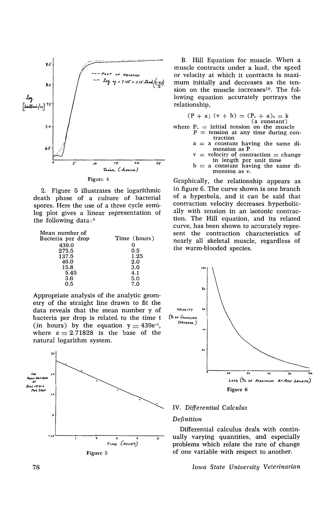

2. Figure 5 illustrates the logarithmic death phase of a culture of bacterial spores. Here the use of a three cycle semilog plot gives a linear representation of the following data; 8

| Mean number of    |              |
|-------------------|--------------|
| Bacteria per drop | Time (hours) |
| 439.0             |              |
| 275.5             | 0.5          |
| 137.5             | 1.25         |
| 46.0              | 2.0          |
| 15.8              | 3.0          |
| 5.45              | 4.1          |
| 3.6               | 5.0          |
| 0.5               | 7.0          |

Appropriate analysis of the analytic geometry of the straight line drawn to fit the data reveals that the mean number y of bacteria per drop is related to the time t (in hours) by the equation  $y = 439e^{-t}$ , where  $e = 2.71828$  is the base of the natural logarithm system.



B. Hill Equation for muscle. When a muscle contracts under a load, the speed or velocity at which it contracts is maximum initially and decreases as the tension on the muscle increases<sup>10</sup>. The following equation accurately portrays the relationship,

$$
(P + a) (v + b) = (P_o + a)_b = k
$$

(a constant)

- where  $P_0$  = initial tension on the muscle<br> $P =$  tension at any time during con
	- $a = a$  constant having the same di-<br>mension as P
	- velocity of contraction  $=$  change in length per unit time  $b = a$  constant having the same di
		- mension as v.

Graphically, the relationship appears as in figure 6. The curve shown is one branch of a hyperbola, and it can be said that contraction velocity decreases hyperbolically with tension in an isotonic contraction. The Hill equation, and its related curve, has been shown to accurately represent the contraction characteristics of nearly all skeletal muscle, regardless of the warm-blooded species.



## IV. *Differential Calculus*

*Definition* 

Differential calculus deals with continually varying quantities, and especially problems which relate the rate of change of one variable with respect to another.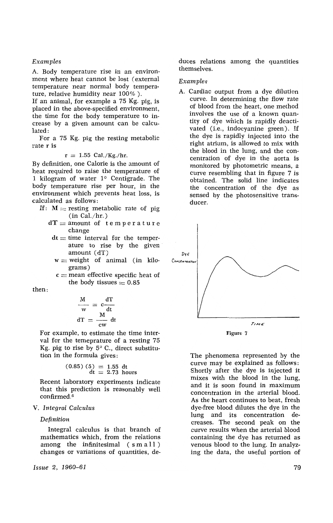#### Examples

A. Body temperature rise in an environment where heat cannot be lost (external temperature near normal body temperature, relative humidity near 100% ).

If an animal, for example a 75 Kg. pig, is placed in the above-specified environment, the time for the body temperature to increase by a given amount can be calculated:

For a 75 Kg. pig the resting metabolic rate r is

 $r = 1.55$  Cal./Kg./hr.

By definition, one Calorie is the amount of heat required to raise the temperature of 1 kilogram of water  $1^\circ$  Centigrade. The body temperature rise per hour, in the environment which prevents heat loss, is calculated as follows:

- If:  $M =$  resting metabolic rate of pig (in Cal./hr.)
	- $dT =$  amount of temperature change
	- $dt =$  time interval for the temperature to rise by the given· amount (dT)
	- $w = weight$  of animal (in kilograms)
	- $c$  = mean effective specific heat of the body tissues  $= 0.85$

then:

$$
\frac{M}{w} = c \frac{dT}{dt}
$$

$$
dT = \frac{M}{cw} dt
$$

For example, to estimate the time interval for the temeprature of a resting 75 Kg. pig to rise by  $5^{\circ}$  C., direct substitution in the formula gives:

$$
(0.85) (5) = 1.55
$$
 dt  
dt = 2.73 hours

Recent laboratory experiments indicate that this prediction is reasonably well confirmed. <sup>6</sup>

## V. *Integral Calculus*

#### *Definition*

Integral calculus is that branch of mathematics which, from the relations among the infinitesimal (s mall ) changes or variations of quantities, de-

*Issue* 2, *1960-61* 

duces relations among the quantities themselves.

#### Examples

A. Cardiac output from a dye dilution curve. In determining the flow rate of blood from the heart, one method involves the use of a known quantity of dye which is rapidly deactivated (i.e., indocyanine green). If the dye is rapidly injected into the right atrium, is allowed to mix with the blood in the lung, and the concentration of dye in the aorta is monitored by photometric means, a curve resembling that in figure 7 is obtained. The solid line indicates the concentration of the dye as sensed by the photosensitive transducer.



The phenomena represented by the curve may be explained as follows: Shortly after the dye is injected it mixes with the blood in the lung, and it is soon found in maximum concentration in the arterial blood. As the heart continues to beat, fresh dye-free blood dilutes the dye in the lung and its concentration decreases. The second peak on the curve results when the arterial blood containing the dye has returned as venous blood to the lung. In analyzing the data, the useful portion of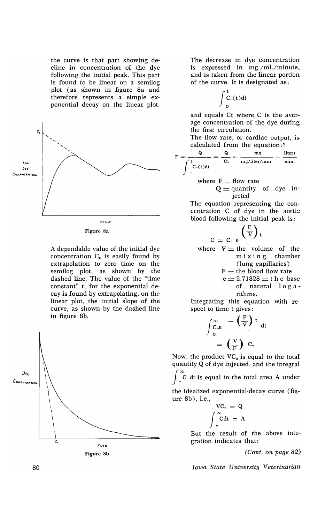the curve is that part showing decline in concentration of the dye following the initial peak. This part is found to be linear on a semilog plot ( as shown in figure Sa and therefore represents a simple exponential decay on the linear plot.



Figure 8a

A dependable value of the initial dye concentration  $C_0$  is easily found by extrapolation to zero time on the semilog plot, as shown by the dashed line. The value of the "time constant" t, for the exponential decay is found by extrapolating, on the linear plot, the initial slope of the curve, as shown by the dashed line in figure Sb.



The decrease in dye concentration is expressed in mg./ml./minute. and is taken from the linear portion of the curve. It is designated as:

$$
\int\limits_0^t\hspace{-0.05cm}C_o(t)dt
$$

and equals Ct where C is the average concentration of the dye during the first circulation.

The flow rate, or cardiac output, is calculated from the equation:<sup>9</sup>

$$
F = \frac{Q}{C_t} = \frac{Q}{C_t} = \frac{mg}{mg/liter/min} = \frac{liters}{min.}
$$

where  $F = flow$  rate

 $C =$ 

 $Q =$  quantity of dye injected

The equation representing the concentration C of dye in the aortic blood following the initial peak is:

$$
\int_{C_0}^{C} \left(\frac{F}{V}\right)_t
$$

where  $V =$  the volume of the<br>m i x i n g chamber  $m i x i n g$ (lung capillaries)

- $F =$  the blood flow rate
- $e = 2.71828 = t h e$  base of natural log a rithms.

Integrating this equation with respect to time t gives:

to time t gives:  
\n
$$
\int_{0}^{\infty} \frac{-\left(\frac{F}{V}\right)t}{0} dt
$$
\n
$$
= \left(\frac{V}{F}\right) C_0
$$

Now, the product  $VC_0$  is equal to the total quantity Q of dye injected, and the integral

 $\tilde{C}$  dt is equal to the total area A under

the idealized exponential-decay curve (figure Sb), i.e.,

$$
VC_{\circ} = Q
$$

$$
\int_{\circ}^{\infty} C dt = A
$$

But the result of the above integration indicates that:

*(Cont. on page 82)*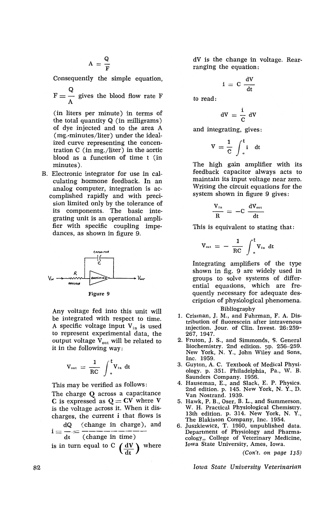$$
A\,=\,\frac{Q}{F}
$$

Consequently the simple equation,

 $F = \frac{Q}{A}$  gives the blood flow rate F

(in liters per minute) in terms of the total quantity Q (in milligrams) of dye injected and to the area A (mg.-minutes/liter) under the idealized curve representing the concentration C (in mg./liter) in the aortic blood as a function of time t (in minutes).

B. Electronic integrator for use in calculating hormone feedback. In an analog computer, integration is accomplished rapidly and with precision limited only by the tolerance of its components. The basic integrating unit is an operational amplifier with specific coupling impedances, as shown in figure 9.



Any voltage fed into this unit will be integrated with respect to time. A specific voltage input  $V_{in}$  is used to represent experimental data, the output voltage  $V_{out}$  will be related to it in the following way;

$$
V_{\text{out}} = \frac{1}{RC} \int_{0}^{t} V_{\text{in}} dt
$$

This may be verified as follows:

The charge Q across a capacitance C is expressed as  $Q = CV$  where V is the voltage across it. When it discharges, the current i that flows is

 $i = \frac{dQ}{dt} = \frac{(\text{change in charge})}{(\text{change in time})}$  and

is in turn equal to C  $(dV)$  where

dV is the change in voltage. Rearranging the equation:

$$
i\ =\ C\ \frac{dV}{dt}
$$

to read:

$$
dV\,=\,\frac{i}{C}\,\,dV
$$

and integrating, gives:

$$
V = \frac{1}{C} \int_{0}^{t} i \, dt
$$

The high gain amplifier with its feedback capacitor always acts to maintain its input voltage near zero. Writing the circuit equations for the system shown in figure 9 gives:

$$
\frac{V_{\text{in}}}{R} = -C \frac{dV_{\text{out}}}{dt}
$$

This is equivalent to stating that;

$$
V_{\text{out}}\,=\,-\,\,\frac{1}{RC}\,\,\int_{\,\,\raisebox{1pt}{\tiny o}}^{\,t} V_{\text{in}}\,\,dt
$$

Integrating amplifiers of the type shown in fig. 9 are widely used in groups to solve systems of differential equations, which are frequently necessary for adequate description of physiological phenomena. Bibliography

- 1. Crisman, J. M., and Fuhrman, F. A. Distribution of fluorescein after intravenous injection. Jour. of Clin. Invest. 26:259- 267, 1947.
- 2. Fruton, J. S., and Simmonds, S. General Biochemistry. 2nd edition. pp. 256-259. New York, N. Y., John Wiley and Sons, Inc. 1959.
- 3. Guyton, A. C. Textbook of Medical Physiology. p. 351. Philadelphia, Pa., W. B. Saunders Company. 1956.
- 4. Hauseman, E., and Slack, E. P. Physics. 2nd edition. p. 145. New York, N. Y., D. Van Nostrand. 1939.
- 5. Hawk, P. B., Oser, B. L., and Summerson, W. H. Practical Physiological Chemistry. 13th edition. p. 314. New York, N. Y., The Blakiston Company, Inc. 1954.
- 6. Juszkiewicz, T. 1960, unpublished data. Department of Physiology and Pharmacology,, College of Veterinary Medicine, Iowa State University, Ames, Iowa.

(Con't. on page 1J5)